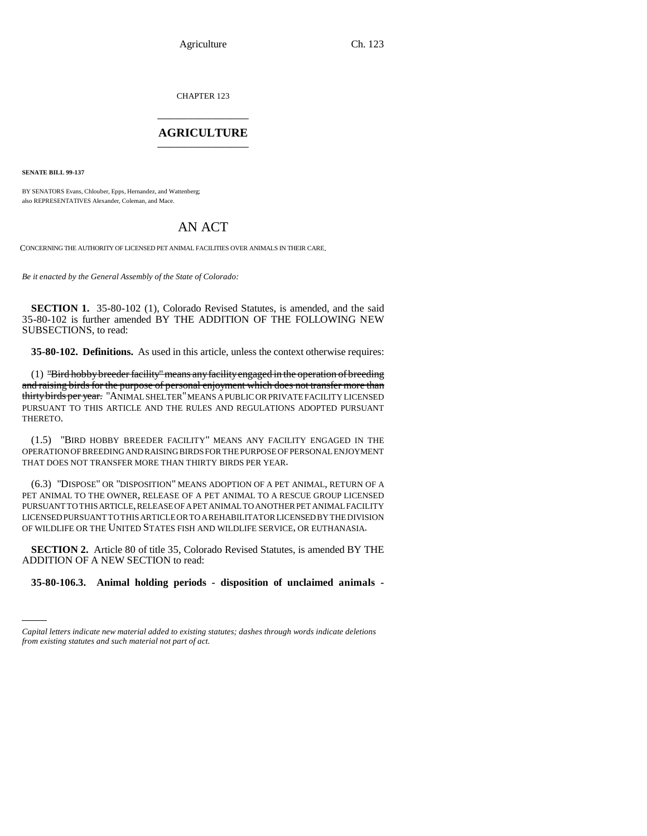Agriculture Ch. 123

CHAPTER 123 \_\_\_\_\_\_\_\_\_\_\_\_\_\_\_

## **AGRICULTURE** \_\_\_\_\_\_\_\_\_\_\_\_\_\_\_

**SENATE BILL 99-137**

BY SENATORS Evans, Chlouber, Epps, Hernandez, and Wattenberg; also REPRESENTATIVES Alexander, Coleman, and Mace.

## AN ACT

CONCERNING THE AUTHORITY OF LICENSED PET ANIMAL FACILITIES OVER ANIMALS IN THEIR CARE.

*Be it enacted by the General Assembly of the State of Colorado:*

**SECTION 1.** 35-80-102 (1), Colorado Revised Statutes, is amended, and the said 35-80-102 is further amended BY THE ADDITION OF THE FOLLOWING NEW SUBSECTIONS, to read:

**35-80-102. Definitions.** As used in this article, unless the context otherwise requires:

(1) "Bird hobby breeder facility" means any facility engaged in the operation of breeding and raising birds for the purpose of personal enjoyment which does not transfer more than thirty birds per year. "ANIMAL SHELTER" MEANS A PUBLIC OR PRIVATE FACILITY LICENSED PURSUANT TO THIS ARTICLE AND THE RULES AND REGULATIONS ADOPTED PURSUANT THERETO.

(1.5) "BIRD HOBBY BREEDER FACILITY" MEANS ANY FACILITY ENGAGED IN THE OPERATION OF BREEDING AND RAISING BIRDS FOR THE PURPOSE OF PERSONAL ENJOYMENT THAT DOES NOT TRANSFER MORE THAN THIRTY BIRDS PER YEAR.

(6.3) "DISPOSE" OR "DISPOSITION" MEANS ADOPTION OF A PET ANIMAL, RETURN OF A PET ANIMAL TO THE OWNER, RELEASE OF A PET ANIMAL TO A RESCUE GROUP LICENSED PURSUANT TO THIS ARTICLE, RELEASE OF A PET ANIMAL TO ANOTHER PET ANIMAL FACILITY LICENSED PURSUANT TO THIS ARTICLE OR TO A REHABILITATOR LICENSED BY THE DIVISION OF WILDLIFE OR THE UNITED STATES FISH AND WILDLIFE SERVICE, OR EUTHANASIA.

**SECTION 2.** Article 80 of title 35, Colorado Revised Statutes, is amended BY THE ADDITION OF A NEW SECTION to read:

**35-80-106.3. Animal holding periods - disposition of unclaimed animals -**

*Capital letters indicate new material added to existing statutes; dashes through words indicate deletions from existing statutes and such material not part of act.*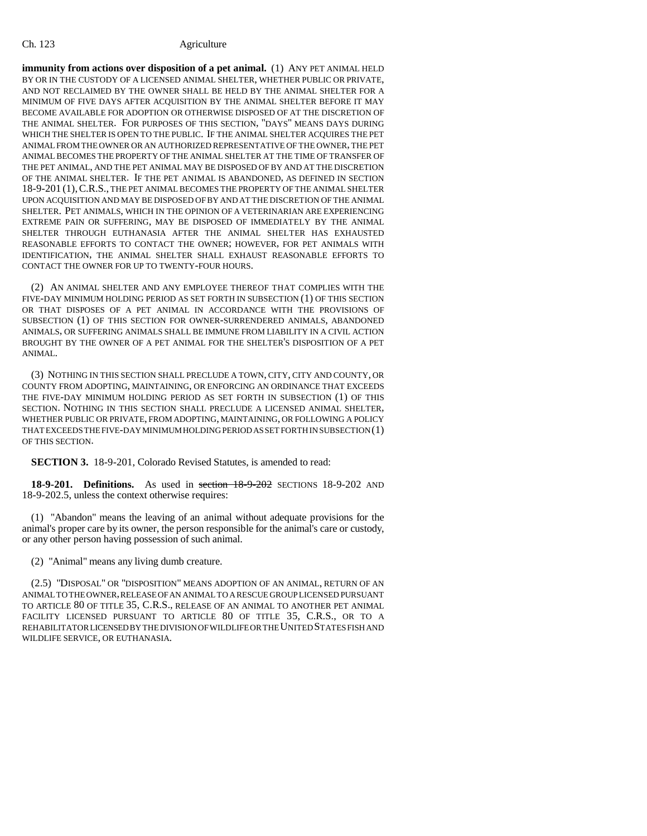## Ch. 123 Agriculture

**immunity from actions over disposition of a pet animal.** (1) ANY PET ANIMAL HELD BY OR IN THE CUSTODY OF A LICENSED ANIMAL SHELTER, WHETHER PUBLIC OR PRIVATE, AND NOT RECLAIMED BY THE OWNER SHALL BE HELD BY THE ANIMAL SHELTER FOR A MINIMUM OF FIVE DAYS AFTER ACQUISITION BY THE ANIMAL SHELTER BEFORE IT MAY BECOME AVAILABLE FOR ADOPTION OR OTHERWISE DISPOSED OF AT THE DISCRETION OF THE ANIMAL SHELTER. FOR PURPOSES OF THIS SECTION, "DAYS" MEANS DAYS DURING WHICH THE SHELTER IS OPEN TO THE PUBLIC. IF THE ANIMAL SHELTER ACQUIRES THE PET ANIMAL FROM THE OWNER OR AN AUTHORIZED REPRESENTATIVE OF THE OWNER, THE PET ANIMAL BECOMES THE PROPERTY OF THE ANIMAL SHELTER AT THE TIME OF TRANSFER OF THE PET ANIMAL, AND THE PET ANIMAL MAY BE DISPOSED OF BY AND AT THE DISCRETION OF THE ANIMAL SHELTER. IF THE PET ANIMAL IS ABANDONED, AS DEFINED IN SECTION 18-9-201 (1),C.R.S., THE PET ANIMAL BECOMES THE PROPERTY OF THE ANIMAL SHELTER UPON ACQUISITION AND MAY BE DISPOSED OF BY AND AT THE DISCRETION OF THE ANIMAL SHELTER. PET ANIMALS, WHICH IN THE OPINION OF A VETERINARIAN ARE EXPERIENCING EXTREME PAIN OR SUFFERING, MAY BE DISPOSED OF IMMEDIATELY BY THE ANIMAL SHELTER THROUGH EUTHANASIA AFTER THE ANIMAL SHELTER HAS EXHAUSTED REASONABLE EFFORTS TO CONTACT THE OWNER; HOWEVER, FOR PET ANIMALS WITH IDENTIFICATION, THE ANIMAL SHELTER SHALL EXHAUST REASONABLE EFFORTS TO CONTACT THE OWNER FOR UP TO TWENTY-FOUR HOURS.

(2) AN ANIMAL SHELTER AND ANY EMPLOYEE THEREOF THAT COMPLIES WITH THE FIVE-DAY MINIMUM HOLDING PERIOD AS SET FORTH IN SUBSECTION (1) OF THIS SECTION OR THAT DISPOSES OF A PET ANIMAL IN ACCORDANCE WITH THE PROVISIONS OF SUBSECTION (1) OF THIS SECTION FOR OWNER-SURRENDERED ANIMALS, ABANDONED ANIMALS, OR SUFFERING ANIMALS SHALL BE IMMUNE FROM LIABILITY IN A CIVIL ACTION BROUGHT BY THE OWNER OF A PET ANIMAL FOR THE SHELTER'S DISPOSITION OF A PET ANIMAL.

(3) NOTHING IN THIS SECTION SHALL PRECLUDE A TOWN, CITY, CITY AND COUNTY, OR COUNTY FROM ADOPTING, MAINTAINING, OR ENFORCING AN ORDINANCE THAT EXCEEDS THE FIVE-DAY MINIMUM HOLDING PERIOD AS SET FORTH IN SUBSECTION (1) OF THIS SECTION. NOTHING IN THIS SECTION SHALL PRECLUDE A LICENSED ANIMAL SHELTER, WHETHER PUBLIC OR PRIVATE, FROM ADOPTING, MAINTAINING, OR FOLLOWING A POLICY THAT EXCEEDS THE FIVE-DAY MINIMUM HOLDING PERIOD AS SET FORTH IN SUBSECTION (1) OF THIS SECTION.

**SECTION 3.** 18-9-201, Colorado Revised Statutes, is amended to read:

**18-9-201. Definitions.** As used in section 18-9-202 SECTIONS 18-9-202 AND 18-9-202.5, unless the context otherwise requires:

(1) "Abandon" means the leaving of an animal without adequate provisions for the animal's proper care by its owner, the person responsible for the animal's care or custody, or any other person having possession of such animal.

(2) "Animal" means any living dumb creature.

(2.5) "DISPOSAL" OR "DISPOSITION" MEANS ADOPTION OF AN ANIMAL, RETURN OF AN ANIMAL TO THE OWNER, RELEASE OF AN ANIMAL TO A RESCUE GROUP LICENSED PURSUANT TO ARTICLE 80 OF TITLE 35, C.R.S., RELEASE OF AN ANIMAL TO ANOTHER PET ANIMAL FACILITY LICENSED PURSUANT TO ARTICLE 80 OF TITLE 35, C.R.S., OR TO A REHABILITATOR LICENSED BY THE DIVISION OF WILDLIFE OR THE UNITED STATES FISH AND WILDLIFE SERVICE, OR EUTHANASIA.